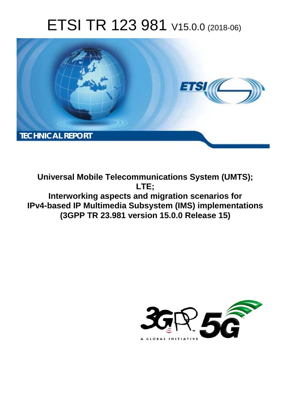# ETSI TR 123 981 V15.0.0 (2018-06)



**Universal Mobile Telecommunications System (UMTS); LTE; Interworking aspects and migration scenarios for IPv4-based IP Multimedia Subsystem (IMS) implementations (3GPP TR 23.981 version 15.0.0 Release 15)** 

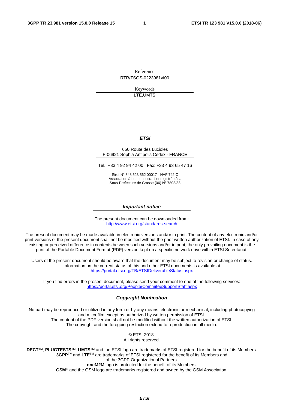Reference RTR/TSGS-0223981vf00

> Keywords LTE,UMTS

#### *ETSI*

#### 650 Route des Lucioles F-06921 Sophia Antipolis Cedex - FRANCE

Tel.: +33 4 92 94 42 00 Fax: +33 4 93 65 47 16

Siret N° 348 623 562 00017 - NAF 742 C Association à but non lucratif enregistrée à la Sous-Préfecture de Grasse (06) N° 7803/88

#### *Important notice*

The present document can be downloaded from: <http://www.etsi.org/standards-search>

The present document may be made available in electronic versions and/or in print. The content of any electronic and/or print versions of the present document shall not be modified without the prior written authorization of ETSI. In case of any existing or perceived difference in contents between such versions and/or in print, the only prevailing document is the print of the Portable Document Format (PDF) version kept on a specific network drive within ETSI Secretariat.

Users of the present document should be aware that the document may be subject to revision or change of status. Information on the current status of this and other ETSI documents is available at <https://portal.etsi.org/TB/ETSIDeliverableStatus.aspx>

If you find errors in the present document, please send your comment to one of the following services: <https://portal.etsi.org/People/CommiteeSupportStaff.aspx>

#### *Copyright Notification*

No part may be reproduced or utilized in any form or by any means, electronic or mechanical, including photocopying and microfilm except as authorized by written permission of ETSI. The content of the PDF version shall not be modified without the written authorization of ETSI. The copyright and the foregoing restriction extend to reproduction in all media.

> © ETSI 2018. All rights reserved.

**DECT**TM, **PLUGTESTS**TM, **UMTS**TM and the ETSI logo are trademarks of ETSI registered for the benefit of its Members. **3GPP**TM and **LTE**TM are trademarks of ETSI registered for the benefit of its Members and of the 3GPP Organizational Partners. **oneM2M** logo is protected for the benefit of its Members.

**GSM**® and the GSM logo are trademarks registered and owned by the GSM Association.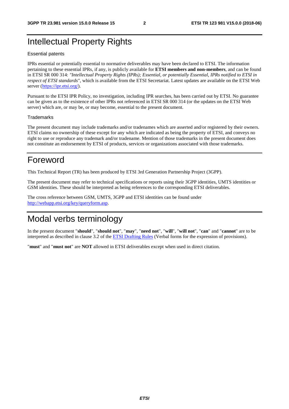# Intellectual Property Rights

#### Essential patents

IPRs essential or potentially essential to normative deliverables may have been declared to ETSI. The information pertaining to these essential IPRs, if any, is publicly available for **ETSI members and non-members**, and can be found in ETSI SR 000 314: *"Intellectual Property Rights (IPRs); Essential, or potentially Essential, IPRs notified to ETSI in respect of ETSI standards"*, which is available from the ETSI Secretariat. Latest updates are available on the ETSI Web server ([https://ipr.etsi.org/\)](https://ipr.etsi.org/).

Pursuant to the ETSI IPR Policy, no investigation, including IPR searches, has been carried out by ETSI. No guarantee can be given as to the existence of other IPRs not referenced in ETSI SR 000 314 (or the updates on the ETSI Web server) which are, or may be, or may become, essential to the present document.

#### **Trademarks**

The present document may include trademarks and/or tradenames which are asserted and/or registered by their owners. ETSI claims no ownership of these except for any which are indicated as being the property of ETSI, and conveys no right to use or reproduce any trademark and/or tradename. Mention of those trademarks in the present document does not constitute an endorsement by ETSI of products, services or organizations associated with those trademarks.

# Foreword

This Technical Report (TR) has been produced by ETSI 3rd Generation Partnership Project (3GPP).

The present document may refer to technical specifications or reports using their 3GPP identities, UMTS identities or GSM identities. These should be interpreted as being references to the corresponding ETSI deliverables.

The cross reference between GSM, UMTS, 3GPP and ETSI identities can be found under [http://webapp.etsi.org/key/queryform.asp.](http://webapp.etsi.org/key/queryform.asp)

# Modal verbs terminology

In the present document "**should**", "**should not**", "**may**", "**need not**", "**will**", "**will not**", "**can**" and "**cannot**" are to be interpreted as described in clause 3.2 of the [ETSI Drafting Rules](https://portal.etsi.org/Services/editHelp!/Howtostart/ETSIDraftingRules.aspx) (Verbal forms for the expression of provisions).

"**must**" and "**must not**" are **NOT** allowed in ETSI deliverables except when used in direct citation.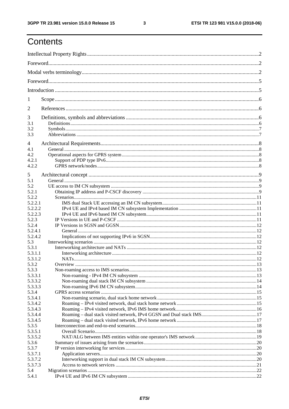$\mathbf{3}$ 

# Contents

| 1              |  |  |  |  |  |  |
|----------------|--|--|--|--|--|--|
| $\overline{2}$ |  |  |  |  |  |  |
| 3              |  |  |  |  |  |  |
| 3.1            |  |  |  |  |  |  |
| 3.2            |  |  |  |  |  |  |
| 3.3            |  |  |  |  |  |  |
| 4              |  |  |  |  |  |  |
| 4.1            |  |  |  |  |  |  |
| 4.2            |  |  |  |  |  |  |
| 4.2.1          |  |  |  |  |  |  |
| 4.2.2          |  |  |  |  |  |  |
|                |  |  |  |  |  |  |
| 5              |  |  |  |  |  |  |
| 5.1            |  |  |  |  |  |  |
| 5.2            |  |  |  |  |  |  |
| 5.2.1          |  |  |  |  |  |  |
| 5.2.2          |  |  |  |  |  |  |
| 5.2.2.1        |  |  |  |  |  |  |
| 5.2.2.2        |  |  |  |  |  |  |
| 5.2.2.3        |  |  |  |  |  |  |
| 5.2.3          |  |  |  |  |  |  |
| 5.2.4          |  |  |  |  |  |  |
| 5.2.4.1        |  |  |  |  |  |  |
| 5.2.4.2        |  |  |  |  |  |  |
| 5.3            |  |  |  |  |  |  |
| 5.3.1          |  |  |  |  |  |  |
| 5.3.1.1        |  |  |  |  |  |  |
| 5.3.1.2        |  |  |  |  |  |  |
| 5.3.2          |  |  |  |  |  |  |
| 5.3.3          |  |  |  |  |  |  |
| 5.3.3.1        |  |  |  |  |  |  |
| 5.3.3.2        |  |  |  |  |  |  |
| 5.3.3.3        |  |  |  |  |  |  |
| 5.3.4          |  |  |  |  |  |  |
| 5.3.4.1        |  |  |  |  |  |  |
| 5.3.4.2        |  |  |  |  |  |  |
| 5.3.4.3        |  |  |  |  |  |  |
| 5.3.4.4        |  |  |  |  |  |  |
| 5.3.4.5        |  |  |  |  |  |  |
| 5.3.5          |  |  |  |  |  |  |
| 5.3.5.1        |  |  |  |  |  |  |
| 5.3.5.2        |  |  |  |  |  |  |
| 5.3.6          |  |  |  |  |  |  |
| 5.3.7          |  |  |  |  |  |  |
| 5.3.7.1        |  |  |  |  |  |  |
| 5.3.7.2        |  |  |  |  |  |  |
| 5.3.7.3        |  |  |  |  |  |  |
| 5.4            |  |  |  |  |  |  |
| 5.4.1          |  |  |  |  |  |  |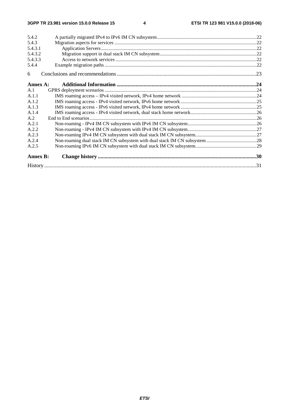| 5.4.2           |  |
|-----------------|--|
| 5.4.3           |  |
| 5.4.3.1         |  |
| 5.4.3.2         |  |
| 5.4.3.3         |  |
| 5.4.4           |  |
| 6               |  |
| Annex A:        |  |
| A.1             |  |
| A.1.1           |  |
| A.1.2           |  |
| A.1.3           |  |
| A.1.4           |  |
| A.2             |  |
| A.2.1           |  |
| A.2.2           |  |
| A.2.3           |  |
| A.2.4           |  |
| A.2.5           |  |
| <b>Annex B:</b> |  |
|                 |  |
|                 |  |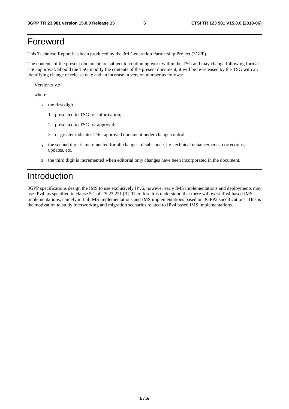# Foreword

This Technical Report has been produced by the 3rd Generation Partnership Project (3GPP).

The contents of the present document are subject to continuing work within the TSG and may change following formal TSG approval. Should the TSG modify the contents of the present document, it will be re-released by the TSG with an identifying change of release date and an increase in version number as follows:

Version x.y.z

where:

- x the first digit:
	- 1 presented to TSG for information;
	- 2 presented to TSG for approval;
	- 3 or greater indicates TSG approved document under change control.
- y the second digit is incremented for all changes of substance, i.e. technical enhancements, corrections, updates, etc.
- z the third digit is incremented when editorial only changes have been incorporated in the document.

# Introduction

3GPP specifications design the IMS to use exclusively IPv6, however early IMS implementations and deployments may use IPv4, as specified in clause 5.1 of TS 23.221 [3]. Therefore it is understood that there will exist IPv4 based IMS implementations, namely initial IMS implementations and IMS implementations based on 3GPP2 specifications. This is the motivation to study interworking and migration scenarios related to IPv4 based IMS implementations.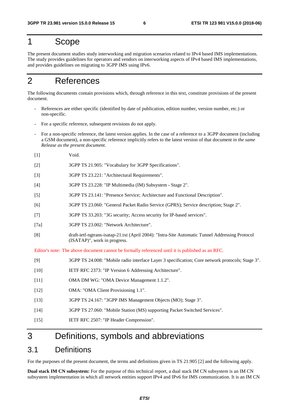# 1 Scope

The present document studies study interworking and migration scenarios related to IPv4 based IMS implementations. The study provides guidelines for operators and vendors on interworking aspects of IPv4 based IMS implementations, and provides guidelines on migrating to 3GPP IMS using IPv6.

# 2 References

The following documents contain provisions which, through reference in this text, constitute provisions of the present document.

- References are either specific (identified by date of publication, edition number, version number, etc.) or non-specific.
- For a specific reference, subsequent revisions do not apply.
- For a non-specific reference, the latest version applies. In the case of a reference to a 3GPP document (including a GSM document), a non-specific reference implicitly refers to the latest version of that document *in the same Release as the present document*.
- [1] Void.
- [2] 3GPP TS 21.905: "Vocabulary for 3GPP Specifications".
- [3] 3GPP TS 23.221: "Architectural Requirements".
- [4] 3GPP TS 23.228: "IP Multimedia (IM) Subsystem Stage 2".
- [5] 3GPP TS 23.141: "Presence Service; Architecture and Functional Description".
- [6] 3GPP TS 23.060: "General Packet Radio Service (GPRS); Service description; Stage 2".
- [7] 3GPP TS 33.203: "3G security; Access security for IP-based services".
- [7a] 3GPP TS 23.002: "Network Architecture".
- [8] draft-ietf-ngtrans-isatap-21.txt (April 2004): "Intra-Site Automatic Tunnel Addressing Protocol (ISATAP)", work in progress.

Editor's note: The above document cannot be formally referenced until it is published as an RFC.

- [9] 3GPP TS 24.008: "Mobile radio interface Layer 3 specification; Core network protocols; Stage 3".
- [10] IETF RFC 2373: "IP Version 6 Addressing Architecture".
- [11] OMA DM WG: "OMA Device Management 1.1.2".
- [12] OMA: "OMA Client Provisioning 1.1".
- [13] 3GPP TS 24.167: "3GPP IMS Management Objects (MO); Stage 3".
- [14] 3GPP TS 27.060: "Mobile Station (MS) supporting Packet Switched Services".
- [15] IETF RFC 2507: "IP Header Compression".

# 3 Definitions, symbols and abbreviations

# 3.1 Definitions

For the purposes of the present document, the terms and definitions given in TS 21.905 [2] and the following apply.

**Dual stack IM CN subsystem:** For the purpose of this technical report, a dual stack IM CN subsystem is an IM CN subsystem implementation in which all network entities support IPv4 and IPv6 for IMS communication. It is an IM CN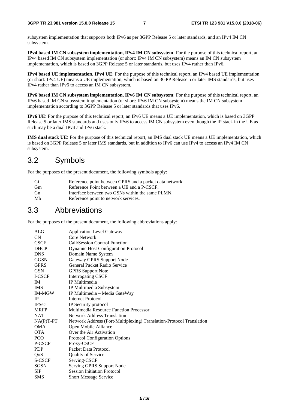subsystem implementation that supports both IPv6 as per 3GPP Release 5 or later standards, and an IPv4 IM CN subsystem.

**IPv4 based IM CN subsystem implementation, IPv4 IM CN subsystem**: For the purpose of this technical report, an IPv4 based IM CN subsystem implementation (or short: IPv4 IM CN subsystem) means an IM CN subsystem implementation, which is based on 3GPP Release 5 or later standards, but uses IPv4 rather than IPv6.

**IPv4 based UE implementation, IPv4 UE**: For the purpose of this technical report, an IPv4 based UE implementation (or short: IPv4 UE) means a UE implementation, which is based on 3GPP Release 5 or later IMS standards, but uses IPv4 rather than IPv6 to access an IM CN subsystem.

**IPv6 based IM CN subsystem implementation, IPv6 IM CN subsystem**: For the purpose of this technical report, an IPv6 based IM CN subsystem implementation (or short: IPv6 IM CN subsystem) means the IM CN subsystem implementation according to 3GPP Release 5 or later standards that uses IPv6.

**IPv6 UE**: For the purpose of this technical report, an IPv6 UE means a UE implementation, which is based on 3GPP Release 5 or later IMS standards and uses only IPv6 to access IM CN subsystem even though the IP stack in the UE as such may be a dual IPv4 and IPv6 stack.

**IMS dual stack UE**: For the purpose of this technical report, an IMS dual stack UE means a UE implementation, which is based on 3GPP Release 5 or later IMS standards, but in addition to IPv6 can use IPv4 to access an IPv4 IM CN subsystem.

# 3.2 Symbols

For the purposes of the present document, the following symbols apply:

| Gi | Reference point between GPRS and a packet data network. |
|----|---------------------------------------------------------|
| Gm | Reference Point between a UE and a P-CSCF.              |
| Gn | Interface between two GSNs within the same PLMN.        |
| Mb | Reference point to network services.                    |

# 3.3 Abbreviations

For the purposes of the present document, the following abbreviations apply:

| ALG           | <b>Application Level Gateway</b>                                     |
|---------------|----------------------------------------------------------------------|
| CN            | Core Network                                                         |
| <b>CSCF</b>   | Call/Session Control Function                                        |
| <b>DHCP</b>   | <b>Dynamic Host Configuration Protocol</b>                           |
| <b>DNS</b>    | Domain Name System                                                   |
| <b>GGSN</b>   | Gateway GPRS Support Node                                            |
| <b>GPRS</b>   | General Packet Radio Service                                         |
| <b>GSN</b>    | <b>GPRS Support Note</b>                                             |
| I-CSCF        | <b>Interrogating CSCF</b>                                            |
| IM            | IP Multimedia                                                        |
| <b>IMS</b>    | IP Multimedia Subsystem                                              |
| <b>IM-MGW</b> | IP Multimedia - Media GateWay                                        |
| IP            | <b>Internet Protocol</b>                                             |
| <b>IPSec</b>  | IP Security protocol                                                 |
| <b>MRFP</b>   | <b>Multimedia Resource Function Processor</b>                        |
| <b>NAT</b>    | Network Address Translation                                          |
| $NA(P)T-PT$   | Network Address (Port-Multiplexing) Translation-Protocol Translation |
| <b>OMA</b>    | Open Mobile Alliance                                                 |
| <b>OTA</b>    | Over the Air Activation                                              |
| <b>PCO</b>    | <b>Protocol Configuration Options</b>                                |
| P-CSCF        | Proxy-CSCF                                                           |
| <b>PDP</b>    | Packet Data Protocol                                                 |
| QoS           | <b>Quality of Service</b>                                            |
| S-CSCF        | Serving-CSCF                                                         |
| <b>SGSN</b>   | Serving GPRS Support Node                                            |
| <b>SIP</b>    | <b>Session Initiation Protocol</b>                                   |
| <b>SMS</b>    | <b>Short Message Service</b>                                         |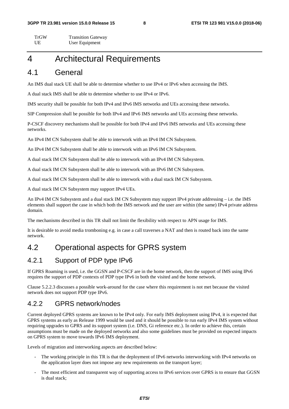TrGW Transition Gateway UE User Equipment

# 4 Architectural Requirements

### 4.1 General

An IMS dual stack UE shall be able to determine whether to use IPv4 or IPv6 when accessing the IMS.

A dual stack IMS shall be able to determine whether to use IPv4 or IPv6.

IMS security shall be possible for both IPv4 and IPv6 IMS networks and UEs accessing these networks.

SIP Compression shall be possible for both IPv4 and IPv6 IMS networks and UEs accessing these networks.

P-CSCF discovery mechanisms shall be possible for both IPv4 and IPv6 IMS networks and UEs accessing these networks.

An IPv4 IM CN Subsystem shall be able to interwork with an IPv4 IM CN Subsystem.

An IPv4 IM CN Subsystem shall be able to interwork with an IPv6 IM CN Subsystem.

A dual stack IM CN Subsystem shall be able to interwork with an IPv4 IM CN Subsystem.

A dual stack IM CN Subsystem shall be able to interwork with an IPv6 IM CN Subsystem.

A dual stack IM CN Subsystem shall be able to interwork with a dual stack IM CN Subsystem.

A dual stack IM CN Subsystem may support IPv4 UEs.

An IPv4 IM CN Subsystem and a dual stack IM CN Subsystem may support IPv4 private addressing – i.e. the IMS elements shall support the case in which both the IMS network and the user are within (the same) IPv4 private address domain.

The mechanisms described in this TR shall not limit the flexibility with respect to APN usage for IMS.

It is desirable to avoid media tromboning e.g. in case a call traverses a NAT and then is routed back into the same network.

# 4.2 Operational aspects for GPRS system

### 4.2.1 Support of PDP type IPv6

If GPRS Roaming is used, i.e. the GGSN and P-CSCF are in the home network, then the support of IMS using IPv6 requires the support of PDP contexts of PDP type IPv6 in both the visited and the home network.

Clause 5.2.2.3 discusses a possible work-around for the case where this requirement is not met because the visited network does not support PDP type IPv6.

### 4.2.2 GPRS network/nodes

Current deployed GPRS systems are known to be IPv4 only. For early IMS deployment using IPv4, it is expected that GPRS systems as early as Release 1999 would be used and it should be possible to run early IPv4 IMS system without requiring upgrades to GPRS and its support system (i.e. DNS, Gi reference etc.). In order to achieve this, certain assumptions must be made on the deployed networks and also some guidelines must be provided on expected impacts on GPRS system to move towards IPv6 IMS deployment.

Levels of migration and interworking aspects are described below:

- The working principle in this TR is that the deployment of IPv6 networks interworking with IPv4 networks on the application layer does not impose any new requirements on the transport layer;
- The most efficient and transparent way of supporting access to IPv6 services over GPRS is to ensure that GGSN is dual stack;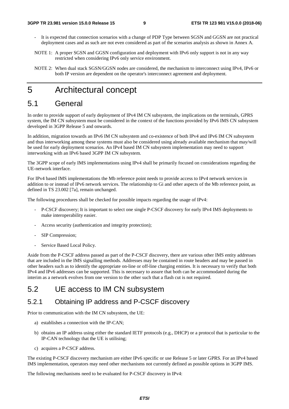- It is expected that connection scenarios with a change of PDP Type between SGSN and GGSN are not practical deployment cases and as such are not even considered as part of the scenarios analysis as shown in Annex A.
- NOTE 1: A proper SGSN and GGSN configuration and deployment with IPv6 only support is not in any way restricted when considering IPv6 only service environment.
- NOTE 2: When dual stack SGSN/GGSN nodes are considered, the mechanism to interconnect using IPv4, IPv6 or both IP version are dependent on the operator's interconnect agreement and deployment.

# 5 Architectural concept

# 5.1 General

In order to provide support of early deployment of IPv4 IM CN subsystem, the implications on the terminals, GPRS system, the IM CN subsystem must be considered in the context of the functions provided by IPv6 IMS CN subsystem developed in 3GPP Release 5 and onwards.

In addition, migration towards an IPv6 IM CN subsystem and co-existence of both IPv4 and IPv6 IM CN subsystem and thus interworking among these systems must also be considered using already available mechanism that may/will be used for early deployment scenarios. An IPv4 based IM CN subsystem implementation may need to support interworking with an IPv6 based 3GPP IM CN subsystem.

The 3GPP scope of early IMS implementations using IPv4 shall be primarily focused on considerations regarding the UE-network interface.

For IPv4 based IMS implementations the Mb reference point needs to provide access to IPv4 network services in addition to or instead of IPv6 network services. The relationship to Gi and other aspects of the Mb reference point, as defined in TS 23.002 [7a], remain unchanged.

The following procedures shall be checked for possible impacts regarding the usage of IPv4:

- P-CSCF discovery; It is important to select one single P-CSCF discovery for early IPv4 IMS deployments to make interoperability easier.
- Access security (authentication and integrity protection);
- SIP Compression;
- Service Based Local Policy.

Aside from the P-CSCF address passed as part of the P-CSCF discovery, there are various other IMS entity addresses that are included in the IMS signalling methods. Addresses may be contained in route headers and may be passed in other headers such as to identify the appropriate on-line or off-line charging entities. It is necessary to verify that both IPv4 and IPv6 addresses can be supported. This is necessary to assure that both can be accommodated during the interim as a network evolves from one version to the other such that a flash cut is not required.

### 5.2 UE access to IM CN subsystem

### 5.2.1 Obtaining IP address and P-CSCF discovery

Prior to communication with the IM CN subsystem, the UE:

- a) establishes a connection with the IP-CAN;
- b) obtains an IP address using either the standard IETF protocols (e.g., DHCP) or a protocol that is particular to the IP-CAN technology that the UE is utilising;
- c) acquires a P-CSCF address.

The existing P-CSCF discovery mechanism are either IPv6 specific or use Release 5 or later GPRS. For an IPv4 based IMS implementation, operators may need other mechanisms not currently defined as possible options in 3GPP IMS.

The following mechanisms need to be evaluated for P-CSCF discovery in IPv4: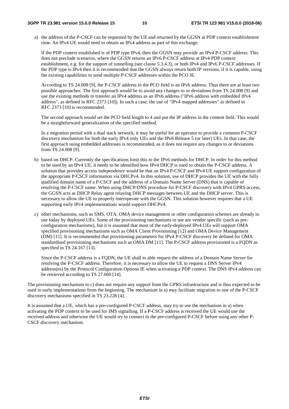a) the address of the P-CSCF can be requested by the UE and returned by the GGSN at PDP context establishment time. An IPv4 UE would need to obtain an IPv4 address as part of this exchange.

If the PDP context established is of PDP type IPv4, then the GGSN may provide an IPv4 P-CSCF address. This does not preclude scenarios, where the GGSN returns an IPv6 P-CSCF address at IPv4 PDP context establishment, e.g. for the support of tunnelling (see clause 5.3.4.3), or both IPv4 and IPv6 P-CSCF addresses. If the PDP type is IPv4 then it is recommended that the GGSN always return both IP versions, if it is capable, using the existing capabilities to send multiple P-CSCF addresses within the PCO IE.

According to TS 24.008 [9], the P-CSCF address in the PCO field is an IPv6 address. Thus there are at least two possible approaches: The first approach would be to avoid any changes to or deviations from TS 24.008 [9] and use the existing methods to transfer an IPv4 address as an IPv6 address ("IPv6 address with embedded IPv4 address", as defined in RFC 2373 [10]). In such a case, the use of "IPv4 mapped addresses" as defined in RFC 2373 [10] is recommended.

The second approach would set the PCO field length to 4 and put the IP address in the content field. This would be a straightforward generalization of the specified method.

In a migration period with a dual stack network, it may be useful for an operator to provide a common P-CSCF discovery mechanism for both the early IPv4 only UEs and the IPv6 Release 5 (or later) UEs. In that case, the first approach using embedded addresses is recommended, as it does not require any changes to or deviations from TS 24.008 [9].

- b) based on DHCP. Currently the specifications limit this to the IPv6 methods for DHCP. In order for this method to be used by an IPv4 UE, it needs to be identified how IPv4 DHCP is used to obtain the P-CSCF address. A solution that provides access independence would be that an IPv4 P-CSCF and IPv4 UE support configuration of the appropriate P-CSCF information via DHCPv4. In this solution, use of DHCP provides the UE with the fully qualified domain name of a P-CSCF and the address of a Domain Name Server (DNS) that is capable of resolving the P-CSCF name. When using DHCP/DNS procedure for P-CSCF discovery with IPv4 GPRS-access, the GGSN acts as DHCP Relay agent relaying DHCP messages between UE and the DHCP server. This is necessary to allow the UE to properly interoperate with the GGSN. This solution however requires that a UE supporting early IPv4 implementations would support DHCPv4.
- c) other mechanisms, such as SMS, OTA, OMA device management or other configuration schemes are already in use today by deployed UEs. Some of the provisioning mechanisms in use are vendor specific (such as preconfiguration mechanisms), but it is assumed that most of the early-deployed IPv4 UEs will support OMA specified provisioning mechanisms such as OMA Client Provisioning [12] and OMA Device Management (DM) [11]. It is recommended that provisioning parameters for IPv4 P-CSCF discovery be defined for OMA standardised provisioning mechanisms such as OMA DM [11]. The P-CSCF address provisioned is a FQDN as specified in TS 24.167 [13].

 Since the P-CSCF address is a FQDN, the UE shall to able request the address of a Domain Name Server for resolving the P-CSCF address. Therefore, it is necessary to allow the UE to request a DNS Server IPv4 address(es) by the Protocol Configuration Options IE when activating a PDP context. The DNS IPv4 address can be retrieved according to TS 27.060 [14].

The provisioning mechanism in c) does not require any support from the GPRS infrastructure and is thus expected to be used in early implementations from the beginning. The mechanism in a) may facilitate migration to one of the P-CSCF discovery mechanisms specified in TS 23.228 [4].

It is assumed that a UE, which has a pre-configured P-CSCF address, may try to use the mechanism in a) when activating the PDP context to be used for IMS signalling. If a P-CSCF address is received the UE would use the received address and otherwise the UE would try to connect to the pre-configured P-CSCF before using any other P-CSCF discovery mechanism.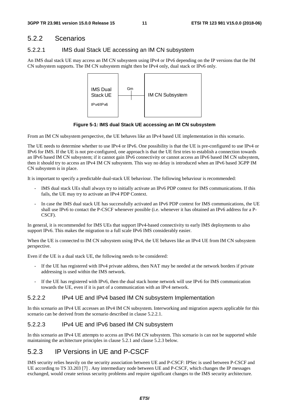### 5.2.2 Scenarios

#### 5.2.2.1 IMS dual Stack UE accessing an IM CN subsystem

An IMS dual stack UE may access an IM CN subsystem using IPv4 or IPv6 depending on the IP versions that the IM CN subsystem supports. The IM CN subsystem might then be IPv4 only, dual stack or IPv6 only.



**Figure 5-1: IMS dual Stack UE accessing an IM CN subsystem** 

From an IM CN subsystem perspective, the UE behaves like an IPv4 based UE implementation in this scenario.

The UE needs to determine whether to use IPv4 or IPv6. One possibility is that the UE is pre-configured to use IPv4 or IPv6 for IMS. If the UE is not pre-configured, one approach is that the UE first tries to establish a connection towards an IPv6 based IM CN subsystem; if it cannot gain IPv6 connectivity or cannot access an IPv6 based IM CN subsystem, then it should try to access an IPv4 IM CN subsystem. This way no delay is introduced when an IPv6 based 3GPP IM CN subsystem is in place.

It is important to specify a predictable dual-stack UE behaviour. The following behaviour is recommended:

- IMS dual stack UEs shall always try to initially activate an IPv6 PDP context for IMS communications. If this fails, the UE may try to activate an IPv4 PDP Context.
- In case the IMS dual stack UE has successfully activated an IPv6 PDP context for IMS communications, the UE shall use IPv6 to contact the P-CSCF whenever possible (i.e. whenever it has obtained an IPv6 address for a P-CSCF).

In general, it is recommended for IMS UEs that support IPv4-based connectivity to early IMS deployments to also support IPv6. This makes the migration to a full scale IPv6 IMS considerably easier.

When the UE is connected to IM CN subsystem using IPv4, the UE behaves like an IPv4 UE from IM CN subsystem perspective.

Even if the UE is a dual stack UE, the following needs to be considered:

- If the UE has registered with IPv4 private address, then NAT may be needed at the network borders if private addressing is used within the IMS network.
- If the UE has registered with IPv6, then the dual stack home network will use IPv6 for IMS communication towards the UE, even if it is part of a communication with an IPv4 network.

#### 5.2.2.2 IPv4 UE and IPv4 based IM CN subsystem Implementation

In this scenario an IPv4 UE accesses an IPv4 IM CN subsystem. Interworking and migration aspects applicable for this scenario can be derived from the scenario described in clause 5.2.2.1.

#### 5.2.2.3 IPv4 UE and IPv6 based IM CN subsystem

In this scenario an IPv4 UE attempts to access an IPv6 IM CN subsystem. This scenario is can not be supported while maintaining the architecture principles in clause 5.2.1 and clause 5.2.3 below.

# 5.2.3 IP Versions in UE and P-CSCF

IMS security relies heavily on the security association between UE and P-CSCF: IPSec is used between P-CSCF and UE according to TS 33.203 [7] . Any intermediary node between UE and P-CSCF, which changes the IP messages exchanged, would create serious security problems and require significant changes to the IMS security architecture.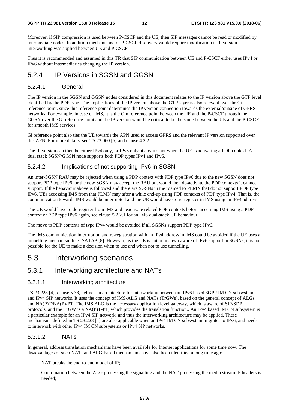Moreover, if SIP compression is used between P-CSCF and the UE, then SIP messages cannot be read or modified by intermediate nodes. In addition mechanisms for P-CSCF discovery would require modification if IP version interworking was applied between UE and P-CSCF.

Thus it is recommended and assumed in this TR that SIP communication between UE and P-CSCF either uses IPv4 or IPv6 without intermediaries changing the IP version.

### 5.2.4 IP Versions in SGSN and GGSN

#### 5.2.4.1 General

The IP version in the SGSN and GGSN nodes considered in this document relates to the IP version above the GTP level identified by the PDP type. The implications of the IP version above the GTP layer is also relevant over the Gi reference point, since this reference point determines the IP version connection towards the external/outside of GPRS networks. For example, in case of IMS, it is the Gm reference point between the UE and the P-CSCF through the GGSN over the Gi reference point and the IP version would be critical to be the same between the UE and the P-CSCF for smooth IMS services.

Gi reference point also ties the UE towards the APN used to access GPRS and the relevant IP version supported over this APN. For more details, see TS 23.060 [6] and clause 4.2.2.

The IP version can then be either IPv4 only, or IPv6 only at any instant when the UE is activating a PDP context. A dual stack SGSN/GGSN node supports both PDP types IPv4 and IPv6.

#### 5.2.4.2 Implications of not supporting IPv6 in SGSN

An inter-SGSN RAU may be rejected when using a PDP context with PDP type IPv6 due to the new SGSN does not support PDP type IPv6, or the new SGSN may accept the RAU but would then de-activate the PDP contexts it cannot support. If the behaviour above is followed and there are SGSNs in the roamed to PLMN that do not support PDP type IPv6, UEs accessing IMS from that PLMN may after a while end-up using PDP contexts of PDP type IPv4. That is, the communication towards IMS would be interrupted and the UE would have to re-register in IMS using an IPv4 address.

The UE would have to de-register from IMS and deactivate related PDP contexts before accessing IMS using a PDP context of PDP type IPv6 again, see clause 5.2.2.1 for an IMS dual-stack UE behaviour.

The move to PDP contexts of type IPv4 would be avoided if all SGSNs support PDP type IPv6.

The IMS communication interruption and re-registration with an IPv4 address in IMS could be avoided if the UE uses a tunnelling mechanism like ISATAP [8]. However, as the UE is not on its own aware of IPv6 support in SGSNs, it is not possible for the UE to make a decision when to use and when not to use tunnelling.

# 5.3 Interworking scenarios

#### 5.3.1 Interworking architecture and NATs

#### 5.3.1.1 Interworking architecture

TS 23.228 [4], clause 5.38, defines an architecture for interworking between an IPv6 based 3GPP IM CN subsystem and IPv4 SIP networks. It uses the concept of IMS-ALG and NATs (TrGWs), based on the general concept of ALGs and NA(P)T/NA(P)-PT: The IMS ALG is the necessary application level gateway, which is aware of SIP/SDP protocols, and the TrGW is a NA(P)T-PT, which provides the translation function.. An IPv4 based IM CN subsystem is a particular example for an IPv4 SIP network, and thus the interworking architecture may be applied. These mechanisms defined in TS 23.228 [4] are also applicable when an IPv4 IM CN subsystem migrates to IPv6, and needs to interwork with other IPv4 IM CN subsystems or IPv4 SIP networks.

#### 5.3.1.2 NATs

In general, address translation mechanisms have been available for Internet applications for some time now. The disadvantages of such NAT- and ALG-based mechanisms have also been identified a long time ago:

- NAT breaks the end-to-end model of IP;
- Coordination between the ALG processing the signalling and the NAT processing the media stream IP headers is needed;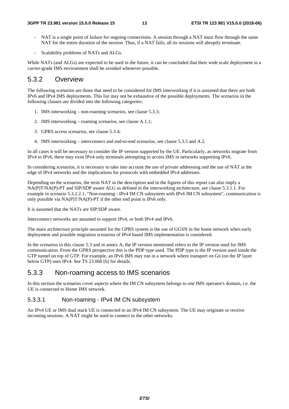- NAT is a single point of failure for ongoing connections. A session through a NAT must flow through the same NAT for the entire duration of the session. Thus, if a NAT fails, all its sessions will abruptly terminate.
- Scalability problems of NATs and ALGs.

While NATs (and ALGs) are expected to be used in the future, it can be concluded that their wide scale deployment in a carrier-grade IMS environment shall be avoided whenever possible.

### 5.3.2 Overview

The following scenarios are those that need to be considered for IMS interworking if it is assumed that there are both IPv6 and IPv4 IMS deployments. This list may not be exhaustive of the possible deployments. The scenarios in the following clauses are divided into the following categories:

- 1. IMS interworking non-roaming scenarios, see clause 5.3.3;
- 2. IMS interworking roaming scenarios, see clause A.1.1;
- 3. GPRS access scenarios, see clause 5.3.4;
- 4. IMS interworking interconnect and end-to-end scenarios, see clause 5.3.5 and A.2.

In all cases it will be necessary to consider the IP version supported by the UE. Particularly, as networks migrate from IPv4 to IPv6, there may exist IPv4 only terminals attempting to access IMS in networks supporting IPv6.

In considering scenarios, it is necessary to take into account the use of private addressing and the use of NAT at the edge of IPv4 networks and the implications for protocols with embedded IPv4 addresses.

Depending on the scenarios, the term NAT in the description and in the figures of this report can also imply a NA(P)T/NA(P)-PT and SIP/SDP aware ALG as defined in the interworking architecture, see clause 5.3.1.1. For example in scenario 5.3.2.2.1, "Non-roaming - IPv4 IM CN subsystem with IPv6 IM CN subsystem", communication is only possible via NA(P)T/NA(P)-PT if the other end point is IPv6 only.

It is assumed that the NATs are SIP/SDP aware.

Interconnect networks are assumed to support IPv4, or both IPv4 and IPv6.

The main architecture principle assumed for the GPRS system is the use of GGSN in the home network when early deployment and possible migration scenarios of IPv4 based IMS implementation is considered.

In the scenarios in this clause 5.3 and in annex A, the IP version mentioned refers to the IP version used for IMS communication. From the GPRS perspective this is the PDP type used. The PDP type is the IP version used inside the GTP tunnel on top of GTP. For example, an IPv6 IMS may run in a network where transport on Gn (on the IP layer below GTP) uses IPv4. See TS 23.060 [6] for details.

#### 5.3.3 Non-roaming access to IMS scenarios

In this section the scenarios cover aspects where the IM CN subsystem belongs to one IMS operator's domain, i.e. the UE is connected to Home IMS network.

#### 5.3.3.1 Non-roaming - IPv4 IM CN subsystem

An IPv4 UE or IMS dual stack UE is connected to an IPv4 IM CN subsystem. The UE may originate or receive incoming sessions. A NAT might be used to connect to the other networks.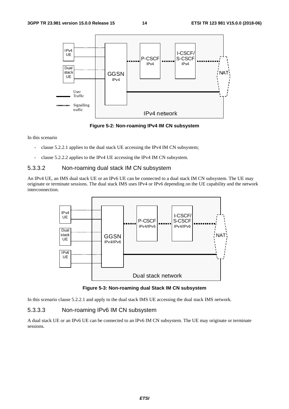

**Figure 5-2: Non-roaming IPv4 IM CN subsystem** 

In this scenario

- clause 5.2.2.1 applies to the dual stack UE accessing the IPv4 IM CN subsystem;
- clause 5.2.2.2 applies to the IPv4 UE accessing the IPv4 IM CN subsystem.

#### 5.3.3.2 Non-roaming dual stack IM CN subsystem

An IPv4 UE, an IMS dual stack UE or an IPv6 UE can be connected to a dual stack IM CN subsystem. The UE may originate or terminate sessions. The dual stack IMS uses IPv4 or IPv6 depending on the UE capability and the network interconnection.



**Figure 5-3: Non-roaming dual Stack IM CN subsystem** 

In this scenario clause 5.2.2.1 and apply to the dual stack IMS UE accessing the dual stack IMS network.

#### 5.3.3.3 Non-roaming IPv6 IM CN subsystem

A dual stack UE or an IPv6 UE can be connected to an IPv6 IM CN subsystem. The UE may originate or terminate sessions.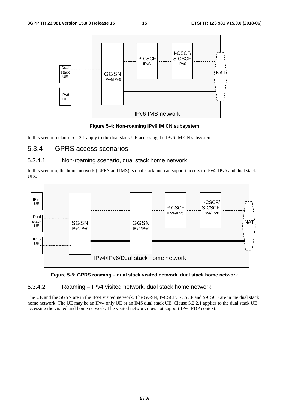

**Figure 5-4: Non-roaming IPv6 IM CN subsystem** 

In this scenario clause 5.2.2.1 apply to the dual stack UE accessing the IPv6 IM CN subsystem.

### 5.3.4 GPRS access scenarios

#### 5.3.4.1 Non-roaming scenario, dual stack home network

In this scenario, the home network (GPRS and IMS) is dual stack and can support access to IPv4, IPv6 and dual stack UEs.



#### **Figure 5-5: GPRS roaming – dual stack visited network, dual stack home network**

#### 5.3.4.2 Roaming – IPv4 visited network, dual stack home network

The UE and the SGSN are in the IPv4 visited network. The GGSN, P-CSCF, I-CSCF and S-CSCF are in the dual stack home network. The UE may be an IPv4 only UE or an IMS dual stack UE. Clause 5.2.2.1 applies to the dual stack UE accessing the visited and home network. The visited network does not support IPv6 PDP context.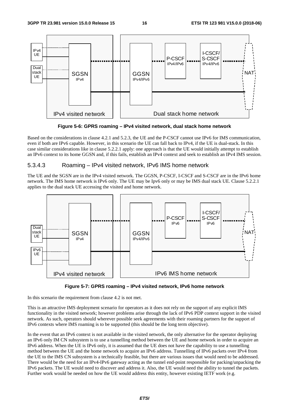

**Figure 5-6: GPRS roaming – IPv4 visited network, dual stack home network** 

Based on the considerations in clause 4.2.1 and 5.2.3, the UE and the P-CSCF cannot use IPv6 for IMS communication, even if both are IPv6 capable. However, in this scenario the UE can fall back to IPv4, if the UE is dual-stack. In this case similar considerations like in clause 5.2.2.1 apply: one approach is that the UE would initially attempt to establish an IPv6 context to its home GGSN and, if this fails, establish an IPv4 context and seek to establish an IPv4 IMS session.

#### 5.3.4.3 Roaming – IPv4 visited network, IPv6 IMS home network

The UE and the SGSN are in the IPv4 visited network. The GGSN, P-CSCF, I-CSCF and S-CSCF are in the IPv6 home network. The IMS home network is IPv6 only. The UE may be Ipv6 only or may be IMS dual stack UE. Clause 5.2.2.1 applies to the dual stack UE accessing the visited and home network.



**Figure 5-7: GPRS roaming – IPv4 visited network, IPv6 home network** 

In this scenario the requirement from clause 4.2 is not met.

This is an attractive IMS deployment scenario for operators as it does not rely on the support of any explicit IMS functionality in the visited network; however problems arise through the lack of IPv6 PDP context support in the visited network. As such, operators should wherever possible seek agreements with their roaming partners for the support of IPv6 contexts where IMS roaming is to be supported (this should be the long term objective).

In the event that an IPv6 context is not available in the visited network, the only alternative for the operator deploying an IPv6 only IM CN subsystem is to use a tunnelling method between the UE and home network in order to acquire an IPv6 address. When the UE is IPv6 only, it is assumed that the UE does not have the capability to use a tunnelling method between the UE and the home network to acquire an IPv6 address. Tunnelling of IPv6 packets over IPv4 from the UE to the IMS CN subsystem is a technically feasible, but there are various issues that would need to be addressed. There would be the need for an IPv4-IPv6 gateway acting as the tunnel end-point responsible for packing/unpacking the IPv6 packets. The UE would need to discover and address it. Also, the UE would need the ability to tunnel the packets. Further work would be needed on how the UE would address this entity, however existing IETF work (e.g.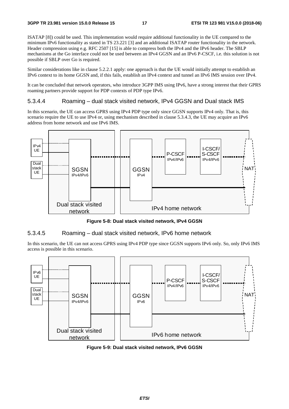ISATAP [8]) could be used. This implementation would require additional functionality in the UE compared to the minimum IPv6 functionality as stated in TS 23.221 [3] and an additional ISATAP router functionality in the network. Header compression using e.g. RFC 2507 [15] is able to compress both the IPv4 and the IPv6 header. The SBLP mechanisms at the Go interface could not be used between an IPv4 GGSN and an IPv6 P-CSCF, i.e. this solution is not possible if SBLP over Go is required.

Similar considerations like in clause 5.2.2.1 apply: one approach is that the UE would initially attempt to establish an IPv6 context to its home GGSN and, if this fails, establish an IPv4 context and tunnel an IPv6 IMS session over IPv4.

It can be concluded that network operators, who introduce 3GPP IMS using IPv6, have a strong interest that their GPRS roaming partners provide support for PDP contexts of PDP type IPv6.

#### 5.3.4.4 Roaming – dual stack visited network, IPv4 GGSN and Dual stack IMS

In this scenario, the UE can access GPRS using IPv4 PDP type only since GGSN supports IPv4 only. That is, this scenario require the UE to use IPv4 or, using mechanism described in clause 5.3.4.3, the UE may acquire an IPv6 address from home network and use IPv6 IMS.



**Figure 5-8: Dual stack visited network, IPv4 GGSN** 

#### 5.3.4.5 Roaming – dual stack visited network, IPv6 home network

In this scenario, the UE can not access GPRS using IPv4 PDP type since GGSN supports IPv6 only. So, only IPv6 IMS access is possible in this scenario.



**Figure 5-9: Dual stack visited network, IPv6 GGSN**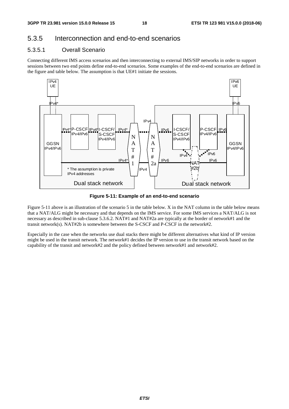# 5.3.5 Interconnection and end-to-end scenarios

#### 5.3.5.1 Overall Scenario

Connecting different IMS access scenarios and then interconnecting to external IMS/SIP networks in order to support sessions between two end points define end-to-end scenarios. Some examples of the end-to-end scenarios are defined in the figure and table below. The assumption is that UE#1 initiate the sessions.



**Figure 5-11: Example of an end-to-end scenario** 

Figure 5-11 above is an illustration of the scenario 5 in the table below. X in the NAT column in the table below means that a NAT/ALG might be necessary and that depends on the IMS service. For some IMS services a NAT/ALG is not necessary as described in sub-clause 5.3.6.2. NAT#1 and NAT#2a are typically at the border of network#1 and the transit network(s). NAT#2b is somewhere between the S-CSCF and P-CSCF in the network#2.

Especially in the case when the networks use dual stacks there might be different alternatives what kind of IP version might be used in the transit network. The network#1 decides the IP version to use in the transit network based on the capability of the transit and network#2 and the policy defined between network#1 and network#2.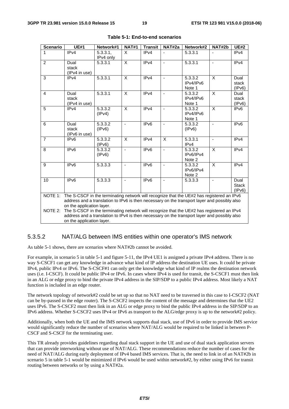| <b>Scenario</b> | <b>UE#1</b>                                                                                                                                                                                                            | Network#1            | <b>NAT#1</b>   | <b>Transit</b>   | NAT#2a                   | Network#2                      | NAT#2b                  | <b>UE#2</b>                    |
|-----------------|------------------------------------------------------------------------------------------------------------------------------------------------------------------------------------------------------------------------|----------------------|----------------|------------------|--------------------------|--------------------------------|-------------------------|--------------------------------|
| 1               | IPv4                                                                                                                                                                                                                   | 5.3.3.1<br>IPv4 only | X              | IPv4             |                          | 5.3.3.1                        |                         | IPv4                           |
| 2               | Dual<br>stack<br>(IPv4 in use)                                                                                                                                                                                         | 5.3.3.1              | X              | IPv4             | $\blacksquare$           | 5.3.3.1                        | ÷,                      | IP <sub>v4</sub>               |
| 3               | IPv4                                                                                                                                                                                                                   | 5.3.3.1              | X              | IPv4             | $\blacksquare$           | 5.3.3.2<br>IPv4/IPv6<br>Note 1 | $\sf X$                 | Dual<br>stack<br>(IPv6)        |
| $\overline{4}$  | Dual<br>stack<br>(IPv4 in use)                                                                                                                                                                                         | 5.3.3.1              | X              | IPv4             | $\blacksquare$           | 5.3.3.2<br>IPv4/IPv6<br>Note 1 | X                       | Dual<br>stack<br>(IPv6)        |
| 5               | IPv4                                                                                                                                                                                                                   | 5.3.3.2<br>(IPv4)    | $\mathsf{x}$   | IPv4             | $\blacksquare$           | 5.3.3.2<br>IPv4/IPv6<br>Note 1 | $\sf X$                 | IPv6                           |
| 6               | Dual<br>stack<br>(IPv6 in use)                                                                                                                                                                                         | 5.3.3.2<br>(IPv6)    | $\blacksquare$ | IP <sub>v6</sub> | $\overline{\phantom{a}}$ | 5.3.3.2<br>(IPv6)              |                         | IPv6                           |
| $\overline{7}$  | IPv6                                                                                                                                                                                                                   | 5.3.3.2<br>(IPv6)    | X              | IPv4             | X                        | 5.3.3.1<br>IPv4                | $\blacksquare$          | IPv4                           |
| 8               | IP <sub>v6</sub>                                                                                                                                                                                                       | 5.3.3.2<br>(IPv6)    | $\blacksquare$ | IP <sub>v6</sub> | $\overline{\phantom{a}}$ | 5.3.3.2<br>IPv6/IPv4<br>Note 2 | X                       | IP <sub>v4</sub>               |
| 9               | IP <sub>v6</sub>                                                                                                                                                                                                       | 5.3.3.3              | $\blacksquare$ | IP <sub>v6</sub> | $\blacksquare$           | 5.3.3.2<br>IPv6/IPv4<br>Note 2 | $\overline{\mathsf{x}}$ | IPv4                           |
| 10              | IPv6                                                                                                                                                                                                                   | 5.3.3.3              |                | IPv6             |                          | 5.3.3.3                        |                         | Dual<br><b>Stack</b><br>(IPV6) |
| NOTE 1:         | The S-CSCF in the terminating network will recognize that the UE#2 has registered an IPv6<br>address and a translation to IPv6 is then necessary on the transport layer and possibly also<br>on the application layer. |                      |                |                  |                          |                                |                         |                                |
| NOTE 2:         | The S-CSCF in the terminating network will recognize that the UE#2 has registered an IPv4<br>address and a translation to IPv4 is then necessary on the transport layer and possibly also<br>on the application layer. |                      |                |                  |                          |                                |                         |                                |

| Table 5-1: End-to-end scenarios |
|---------------------------------|
|---------------------------------|

#### 5.3.5.2 NAT/ALG between IMS entities within one operator's IMS network

As table 5-1 shows, there are scenarios where NAT#2b cannot be avoided.

For example, in scenario 5 in table 5-1 and figure 5-11, the IPv4 UE1 is assigned a private IPv4 address. There is no way S-CSCF1 can get any knowledge in advance what kind of IP address the destination UE uses. It could be private IPv4, public IPv4 or IPv6. The S-CSCF#1 can only get the knowledge what kind of IP realms the destination network uses (i.e. I-CSCF). It could be public IPv4 or IPv6. In cases where IPv4 is used for transit, the S-CSCF1 must then link in an ALG or edge proxy to bind the private IPv4 address in the SIP/SDP to a public IPv4 address. Most likely a NAT function is included in an edge router.

The network topology of network#2 could be set up so that no NAT need to be traversed in this case to I-CSCF2 (NAT can be by-passed in the edge router). The S-CSCF2 inspects the content of the message and determines that the UE2 uses IPv6. The S-CSCF2 must then link in an ALG or edge proxy to bind the public IPv4 address in the SIP/SDP to an IPv6 address. Whether S-CSCF2 uses IPv4 or IPv6 as transport to the ALG/edge proxy is up to the network#2 policy.

Additionally, when both the UE and the IMS network supports dual stack, use of IPv6 in order to provide IMS service would significantly reduce the number of scenarios where NAT/ALG would be required to be linked in between P-CSCF and S-CSCF for the terminating user.

This TR already provides guidelines regarding dual stack support in the UE and use of dual stack application servers that can provide interworking without use of NAT/ALG. These recommendations reduce the number of cases for the need of NAT/ALG during early deployment of IPv4 based IMS services. That is, the need to link in of an NAT#2b in scenario 5 in table 5-1 would be minimized if IPv6 would be used within network#2, by either using IPv6 for transit routing between networks or by using a NAT#2a.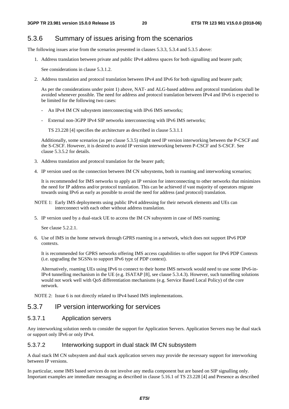# 5.3.6 Summary of issues arising from the scenarios

The following issues arise from the scenarios presented in clauses 5.3.3, 5.3.4 and 5.3.5 above:

1. Address translation between private and public IPv4 address spaces for both signalling and bearer path;

See considerations in clause 5.3.1.2.

2. Address translation and protocol translation between IPv4 and IPv6 for both signalling and bearer path;

 As per the considerations under point 1) above, NAT- and ALG-based address and protocol translations shall be avoided whenever possible. The need for address and protocol translation between IPv4 and IPv6 is expected to be limited for the following two cases:

- An IPv4 IM CN subsystem interconnecting with IPv6 IMS networks:
- External non-3GPP IPv4 SIP networks interconnecting with IPv6 IMS networks;

TS 23.228 [4] specifies the architecture as described in clause 5.3.1.1

 Additionally, some scenarios (as per clause 5.3.5) might need IP version interworking between the P-CSCF and the S-CSCF. However, it is desired to avoid IP version interworking between P-CSCF and S-CSCF. See clause 5.3.5.2 for details.

- 3. Address translation and protocol translation for the bearer path;
- 4. IP version used on the connection between IM CN subsystems, both in roaming and interworking scenarios;

 It is recommended for IMS networks to apply an IP version for interconnecting to other networks that minimizes the need for IP address and/or protocol translation. This can be achieved if vast majority of operators migrate towards using IPv6 as early as possible to avoid the need for address (and protocol) translation.

- NOTE 1: Early IMS deployments using public IPv4 addressing for their network elements and UEs can interconnect with each other without address translation.
- 5. IP version used by a dual-stack UE to access the IM CN subsystem in case of IMS roaming;

See clause 5.2.2.1.

6. Use of IMS in the home network through GPRS roaming in a network, which does not support IPv6 PDP contexts.

 It is recommended for GPRS networks offering IMS access capabilities to offer support for IPv6 PDP Contexts (i.e. upgrading the SGSNs to support IPv6 type of PDP context).

 Alternatively, roaming UEs using IPv6 to connect to their home IMS network would need to use some IPv6-in-IPv4 tunnelling mechanism in the UE (e.g. ISATAP [8], see clause 5.3.4.3). However, such tunnelling solutions would not work well with QoS differentiation mechanisms (e.g. Service Based Local Policy) of the core network.

NOTE 2: Issue 6 is not directly related to IPv4 based IMS implementations.

# 5.3.7 IP version interworking for services

#### 5.3.7.1 Application servers

Any interworking solution needs to consider the support for Application Servers. Application Servers may be dual stack or support only IPv6 or only IPv4.

#### 5.3.7.2 Interworking support in dual stack IM CN subsystem

A dual stack IM CN subsystem and dual stack application servers may provide the necessary support for interworking between IP versions.

In particular, some IMS based services do not involve any media component but are based on SIP signalling only. Important examples are immediate messaging as described in clause 5.16.1 of TS 23.228 [4] and Presence as described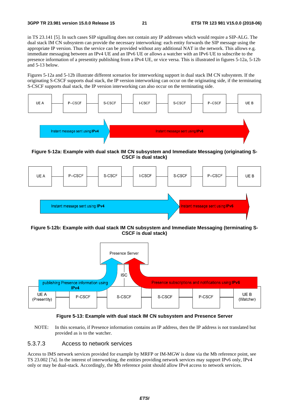in TS 23.141 [5]. In such cases SIP signalling does not contain any IP addresses which would require a SIP-ALG. The dual stack IM CN subsystem can provide the necessary interworking: each entity forwards the SIP message using the appropriate IP version. Thus the service can be provided without any additional NAT in the network. This allows e.g. immediate messaging between an IPv4 UE and an IPv6 UE or allows a watcher with an IPv6 UE to subscribe to the presence information of a presentity publishing from a IPv4 UE, or vice versa. This is illustrated in figures 5-12a, 5-12b and 5-13 below.

Figures 5-12a and 5-12b illustrate different scenarios for interworking support in dual stack IM CN subsystem. If the originating S-CSCF supports dual stack, the IP version interworking can occur on the originating side, if the terminating S-CSCF supports dual stack, the IP version interworking can also occur on the terminating side.



**Figure 5-12a: Example with dual stack IM CN subsystem and Immediate Messaging (originating S-CSCF is dual stack)** 



**Figure 5-12b: Example with dual stack IM CN subsystem and Immediate Messaging (terminating S-CSCF is dual stack)** 





NOTE: In this scenario, if Presence information contains an IP address, then the IP address is not translated but provided as is to the watcher.

#### 5.3.7.3 Access to network services

Access to IMS network services provided for example by MRFP or IM-MGW is done via the Mb reference point, see TS 23.002 [7a]. In the interest of interworking, the entities providing network services may support IPv6 only, IPv4 only or may be dual-stack. Accordingly, the Mb reference point should allow IPv4 access to network services.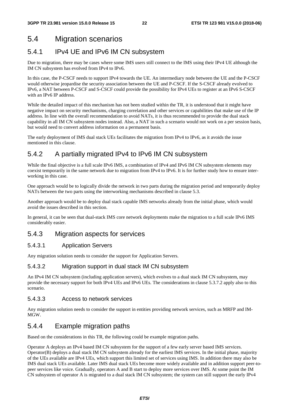# 5.4 Migration scenarios

# 5.4.1 IPv4 UE and IPv6 IM CN subsystem

Due to migration, there may be cases where some IMS users still connect to the IMS using their IPv4 UE although the IM CN subsystem has evolved from IPv4 to IPv6.

In this case, the P-CSCF needs to support IPv4 towards the UE. An intermediary node between the UE and the P-CSCF would otherwise jeopardise the security association between the UE and P-CSCF. If the S-CSCF already evolved to IPv6, a NAT between P-CSCF and S-CSCF could provide the possibility for IPv4 UEs to register at an IPv6 S-CSCF with an IPv6 IP address.

While the detailed impact of this mechanism has not been studied within the TR, it is understood that it might have negative impact on security mechanisms, charging correlation and other services or capabilities that make use of the IP address. In line with the overall recommendation to avoid NATs, it is thus recommended to provide the dual stack capability in all IM CN subsystem nodes instead. Also, a NAT in such a scenario would not work on a per session basis, but would need to convert address information on a permanent basis.

The early deployment of IMS dual stack UEs facilitates the migration from IPv4 to IPv6, as it avoids the issue mentioned in this clause.

# 5.4.2 A partially migrated IPv4 to IPv6 IM CN subsystem

While the final objective is a full scale IPv6 IMS, a combination of IPv4 and IPv6 IM CN subsystem elements may coexist temporarily in the same network due to migration from IPv4 to IPv6. It is for further study how to ensure interworking in this case.

One approach would be to logically divide the network in two parts during the migration period and temporarily deploy NATs between the two parts using the interworking mechanisms described in clause 5.3.

Another approach would be to deploy dual stack capable IMS networks already from the initial phase, which would avoid the issues described in this section.

In general, it can be seen that dual-stack IMS core network deployments make the migration to a full scale IPv6 IMS considerably easier.

### 5.4.3 Migration aspects for services

#### 5.4.3.1 Application Servers

Any migration solution needs to consider the support for Application Servers.

#### 5.4.3.2 Migration support in dual stack IM CN subsystem

An IPv4 IM CN subsystem (including application servers), which evolves to a dual stack IM CN subsystem, may provide the necessary support for both IPv4 UEs and IPv6 UEs. The considerations in clause 5.3.7.2 apply also to this scenario.

#### 5.4.3.3 Access to network services

Any migration solution needs to consider the support in entities providing network services, such as MRFP and IM-MGW.

### 5.4.4 Example migration paths

Based on the considerations in this TR, the following could be example migration paths.

Operator A deploys an IPv4 based IM CN subsystem for the support of a few early server based IMS services. Operator(B) deploys a dual stack IM CN subsystem already for the earliest IMS services. In the initial phase, majority of the UEs available are IPv4 UEs, which support this limited set of services using IMS. In addition there may also be IMS dual stack UEs available. Later IMS dual stack UEs become more widely available and in addition support peer-topeer services like voice. Gradually, operators A and B start to deploy more services over IMS. At some point the IM CN subsystem of operator A is migrated to a dual stack IM CN subsystem; the system can still support the early IPv4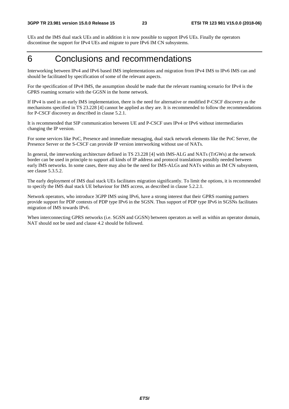UEs and the IMS dual stack UEs and in addition it is now possible to support IPv6 UEs. Finally the operators discontinue the support for IPv4 UEs and migrate to pure IPv6 IM CN subsystems.

# 6 Conclusions and recommendations

Interworking between IPv4 and IPv6 based IMS implementations and migration from IPv4 IMS to IPv6 IMS can and should be facilitated by specification of some of the relevant aspects.

For the specification of IPv4 IMS, the assumption should be made that the relevant roaming scenario for IPv4 is the GPRS roaming scenario with the GGSN in the home network.

If IPv4 is used in an early IMS implementation, there is the need for alternative or modified P-CSCF discovery as the mechanisms specified in TS 23.228 [4] cannot be applied as they are. It is recommended to follow the recommendations for P-CSCF discovery as described in clause 5.2.1.

It is recommended that SIP communication between UE and P-CSCF uses IPv4 or IPv6 without intermediaries changing the IP version.

For some services like PoC, Presence and immediate messaging, dual stack network elements like the PoC Server, the Presence Server or the S-CSCF can provide IP version interworking without use of NATs.

In general, the interworking architecture defined in TS 23.228 [4] with IMS-ALG and NATs (TrGWs) at the network border can be used in principle to support all kinds of IP address and protocol translations possibly needed between early IMS networks. In some cases, there may also be the need for IMS-ALGs and NATs within an IM CN subsystem, see clause 5.3.5.2.

The early deployment of IMS dual stack UEs facilitates migration significantly. To limit the options, it is recommended to specify the IMS dual stack UE behaviour for IMS access, as described in clause 5.2.2.1.

Network operators, who introduce 3GPP IMS using IPv6, have a strong interest that their GPRS roaming partners provide support for PDP contexts of PDP type IPv6 in the SGSN. Thus support of PDP type IPv6 in SGSNs facilitates migration of IMS towards IPv6.

When interconnecting GPRS networks (i.e. SGSN and GGSN) between operators as well as within an operator domain, NAT should not be used and clause 4.2 should be followed.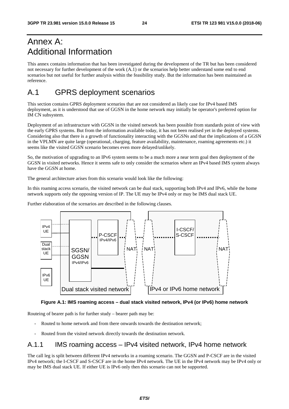# Annex A: Additional Information

This annex contains information that has been investigated during the development of the TR but has been considered not necessary for further development of the work (A.1) or the scenarios help better understand some end to end scenarios but not useful for further analysis within the feasibility study. But the information has been maintained as reference.

# A.1 GPRS deployment scenarios

This section contains GPRS deployment scenarios that are not considered as likely case for IPv4 based IMS deployment, as it is understood that use of GGSN in the home network may initially be operator's preferred option for IM CN subsystem.

Deployment of an infrastructure with GGSN in the visited network has been possible from standards point of view with the early GPRS systems. But from the information available today, it has not been realised yet in the deployed systems. Considering also that there is a growth of functionality interacting with the GGSNs and that the implications of a GGSN in the VPLMN are quite large (operational, charging, feature availability, maintenance, roaming agreements etc.) it seems like the visited GGSN scenario becomes even more delayed/unlikely.

So, the motivation of upgrading to an IPv6 system seems to be a much more a near term goal then deployment of the GGSN in visited networks. Hence it seems safe to only consider the scenarios where an IPv4 based IMS system always have the GGSN at home.

The general architecture arises from this scenario would look like the following:

In this roaming access scenario, the visited network can be dual stack, supporting both IPv4 and IPv6, while the home network supports only the opposing version of IP. The UE may be IPv4 only or may be IMS dual stack UE.

Further elaboration of the scenarios are described in the following clauses.





Routeing of bearer path is for further study – bearer path may be:

- Routed to home network and from there onwards towards the destination network;
- Routed from the visited network directly towards the destination network.

### A.1.1 IMS roaming access – IPv4 visited network, IPv4 home network

The call leg is split between different IPv4 networks in a roaming scenario. The GGSN and P-CSCF are in the visited IPv4 network; the I-CSCF and S-CSCF are in the home IPv4 network. The UE in the IPv4 network may be IPv4 only or may be IMS dual stack UE. If either UE is IPv6 only then this scenario can not be supported.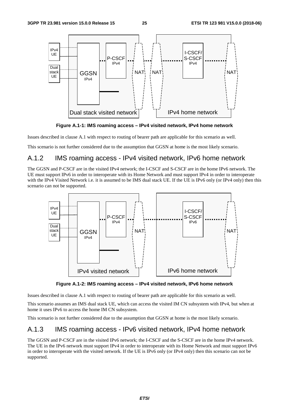

**Figure A.1-1: IMS roaming access – IPv4 visited network, IPv4 home network** 

Issues described in clause A.1 with respect to routing of bearer path are applicable for this scenario as well.

This scenario is not further considered due to the assumption that GGSN at home is the most likely scenario.

# A.1.2 IMS roaming access - IPv4 visited network, IPv6 home network

The GGSN and P-CSCF are in the visited IPv4 network; the I-CSCF and S-CSCF are in the home IPv6 network. The UE must support IPv6 in order to interoperate with its Home Network and must support IPv4 in order to interoperate with the IPv4 Visited Network i.e. it is assumed to be IMS dual stack UE. If the UE is IPv6 only (or IPv4 only) then this scenario can not be supported.



**Figure A.1-2: IMS roaming access – IPv4 visited network, IPv6 home network** 

Issues described in clause A.1 with respect to routing of bearer path are applicable for this scenario as well.

This scenario assumes an IMS dual stack UE, which can access the visited IM CN subsystem with IPv4, but when at home it uses IPv6 to access the home IM CN subsystem.

This scenario is not further considered due to the assumption that GGSN at home is the most likely scenario.

# A.1.3 IMS roaming access - IPv6 visited network, IPv4 home network

The GGSN and P-CSCF are in the visited IPv6 network; the I-CSCF and the S-CSCF are in the home IPv4 network. The UE in the IPv6 network must support IPv4 in order to interoperate with its Home Network and must support IPv6 in order to interoperate with the visited network. If the UE is IPv6 only (or IPv4 only) then this scenario can not be supported.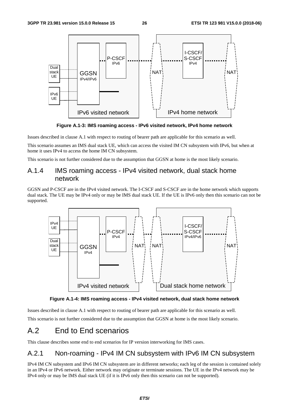

**Figure A.1-3: IMS roaming access - IPv6 visited network, IPv4 home network** 

Issues described in clause A.1 with respect to routing of bearer path are applicable for this scenario as well.

This scenario assumes an IMS dual stack UE, which can access the visited IM CN subsystem with IPv6, but when at home it uses IPv4 to access the home IM CN subsystem.

This scenario is not further considered due to the assumption that GGSN at home is the most likely scenario.

### A.1.4 IMS roaming access - IPv4 visited network, dual stack home network

GGSN and P-CSCF are in the IPv4 visited network. The I-CSCF and S-CSCF are in the home network which supports dual stack. The UE may be IPv4 only or may be IMS dual stack UE. If the UE is IPv6 only then this scenario can not be supported.





Issues described in clause A.1 with respect to routing of bearer path are applicable for this scenario as well.

This scenario is not further considered due to the assumption that GGSN at home is the most likely scenario.

# A.2 End to End scenarios

This clause describes some end to end scenarios for IP version interworking for IMS cases.

### A.2.1 Non-roaming - IPv4 IM CN subsystem with IPv6 IM CN subsystem

IPv4 IM CN subsystem and IPv6 IM CN subsystem are in different networks; each leg of the session is contained solely in an IPv4 or IPv6 network. Either network may originate or terminate sessions. The UE in the IPv4 network may be IPv4 only or may be IMS dual stack UE (if it is IPv6 only then this scenario can not be supported).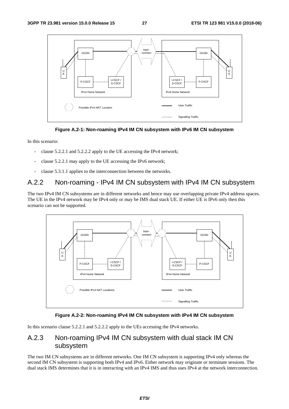



In this scenario:

- clause 5.2.2.1 and 5.2.2.2 apply to the UE accessing the IPv4 network;
- clause 5.2.2.1 may apply to the UE accessing the IPv6 network;
- clause 5.3.1.1 applies to the interconnection between the networks.

### A.2.2 Non-roaming - IPv4 IM CN subsystem with IPv4 IM CN subsystem

The two IPv4 IM CN subsystems are in different networks and hence may use overlapping private IPv4 address spaces. The UE in the IPv4 network may be IPv4 only or may be IMS dual stack UE. If either UE is IPv6 only then this scenario can not be supported.



#### **Figure A.2-2: Non-roaming IPv4 IM CN subsystem with IPv4 IM CN subsystem**

In this scenario clause 5.2.2.1 and 5.2.2.2 apply to the UEs accessing the IPv4 networks.

### A.2.3 Non-roaming IPv4 IM CN subsystem with dual stack IM CN subsystem

The two IM CN subsystems are in different networks. One IM CN subsystem is supporting IPv4 only whereas the second IM CN subsystem is supporting both IPv4 and IPv6. Either network may originate or terminate sessions. The dual stack IMS determines that it is in interacting with an IPv4 IMS and thus uses IPv4 at the network interconnection.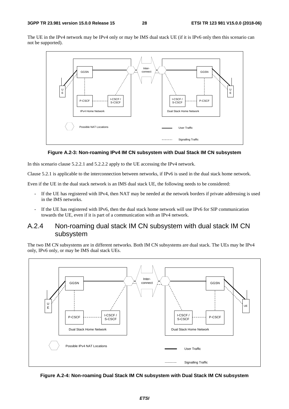The UE in the IPv4 network may be IPv4 only or may be IMS dual stack UE (if it is IPv6 only then this scenario can not be supported).



#### **Figure A.2-3: Non-roaming IPv4 IM CN subsystem with Dual Stack IM CN subsystem**

In this scenario clause 5.2.2.1 and 5.2.2.2 apply to the UE accessing the IPv4 network.

Clause 5.2.1 is applicable to the interconnection between networks, if IPv6 is used in the dual stack home network.

Even if the UE in the dual stack network is an IMS dual stack UE, the following needs to be considered:

- If the UE has registered with IPv4, then NAT may be needed at the network borders if private addressing is used in the IMS networks.
- If the UE has registered with IPv6, then the dual stack home network will use IPv6 for SIP communication towards the UE, even if it is part of a communication with an IPv4 network.

### A.2.4 Non-roaming dual stack IM CN subsystem with dual stack IM CN subsystem

The two IM CN subsystems are in different networks. Both IM CN subsystems are dual stack. The UEs may be IPv4 only, IPv6 only, or may be IMS dual stack UEs.



**Figure A.2-4: Non-roaming Dual Stack IM CN subsystem with Dual Stack IM CN subsystem**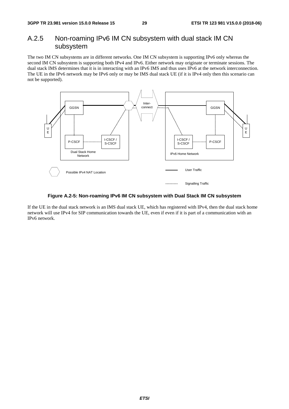### A.2.5 Non-roaming IPv6 IM CN subsystem with dual stack IM CN subsystem

The two IM CN subsystems are in different networks. One IM CN subsystem is supporting IPv6 only whereas the second IM CN subsystem is supporting both IPv4 and IPv6. Either network may originate or terminate sessions. The dual stack IMS determines that it is in interacting with an IPv6 IMS and thus uses IPv6 at the network interconnection. The UE in the IPv6 network may be IPv6 only or may be IMS dual stack UE (if it is IPv4 only then this scenario can not be supported).



**Figure A.2-5: Non-roaming IPv6 IM CN subsystem with Dual Stack IM CN subsystem** 

If the UE in the dual stack network is an IMS dual stack UE, which has registered with IPv4, then the dual stack home network will use IPv4 for SIP communication towards the UE, even if even if it is part of a communication with an IPv6 network.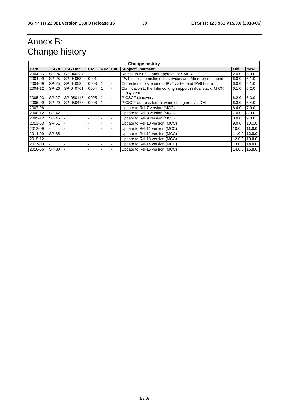# Annex B: Change history

| <b>Change history</b> |       |                 |           |            |                               |                                                                            |        |               |
|-----------------------|-------|-----------------|-----------|------------|-------------------------------|----------------------------------------------------------------------------|--------|---------------|
| Date                  | TSG # | <b>TSG Doc.</b> | <b>CR</b> | <b>Rev</b> | Cat                           | <b>Subject/Comment</b>                                                     | Old    | <b>New</b>    |
| 2004-06               | SP-24 | SP-040337       |           |            |                               | Raised to v.6.0.0 after approval at SA#24                                  | 2.0.0  | 6.0.0         |
| 2004-09               | SP-25 | SP-040530       | 0001      |            |                               | IPv4 access to multimedia services and Mb reference point                  | 6.0.0  | 6.1.0         |
| 2004-09               | SP-25 | SP-040530       | 0003      |            |                               | Corrections to scenario – IPv4 visited and IPv6 home                       | 6.0.0  | 6.1.0         |
| 2004-12               | SP-26 | SP-040761       | 0004      |            |                               | Clarification to the Interworking support in dual stack IM CN<br>subsystem | 6.1.0  | 6.2.0         |
| 2005-03               | SP-27 | SP-050115       | 0005      |            |                               | P-CSCF discoverv                                                           | 6.2.0  | 6.3.0         |
| 2005-09               | SP-29 | SP-050476       | 0006      |            |                               | P-CSCF address format when configured via DM                               | 6.3.0  | 6.4.0         |
| 2007-06               |       |                 |           |            | Update to Rel-7 version (MCC) |                                                                            | 6.4.0  | 7.0.0         |
| 2008-12               | SP-42 |                 |           |            | Update to Rel-8 version (MCC) |                                                                            | 7.0.0  | 8.0.0         |
| 2009-12               | SP-46 |                 |           |            | Update to Rel-9 version (MCC) |                                                                            | 8.0.0  | 9.0.0         |
| 2011-03               | SP-51 |                 |           |            |                               | Update to Rel-10 version (MCC)                                             | 9.0.0  | 10.0.0        |
| 2012-09               |       |                 |           |            |                               | Update to Rel-11 version (MCC)                                             | 10.0.0 | 11.0.0        |
| 2014-09               | SP-65 |                 |           |            |                               | Update to Rel-12 version (MCC)                                             | 11.0.0 | 12.0.0        |
| 2015-12               |       |                 |           |            |                               | Update to Rel-13 version (MCC)                                             | 12.0.0 | 13.0.0        |
| 2017-03               |       |                 |           |            |                               | Update to Rel-14 version (MCC)                                             | 13.0.0 | 14.0.0        |
| 2018-06               | SP-80 |                 |           |            |                               | Update to Rel-15 version (MCC)                                             |        | 14.0.0 15.0.0 |